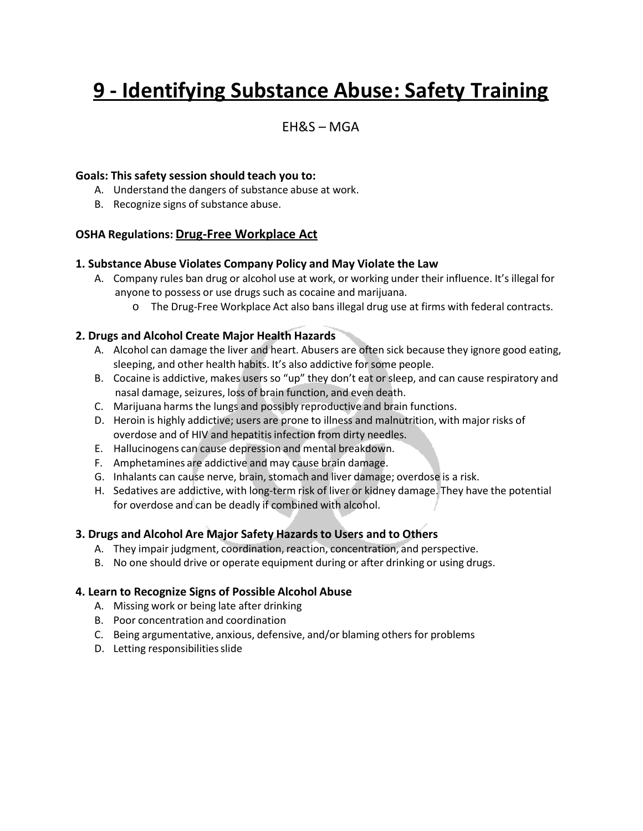# **9 - Identifying Substance Abuse: Safety Training**

### EH&S – MGA

#### **Goals: This safety session should teach you to:**

- A. Understand the dangers of substance abuse at work.
- B. Recognize signs of substance abuse.

#### **OSHA Regulations: Drug-Free Workplace Act**

#### **1. Substance Abuse Violates Company Policy and May Violate the Law**

- A. Company rules ban drug or alcohol use at work, or working under their influence. It's illegal for anyone to possess or use drugs such as cocaine and marijuana.
	- o The Drug-Free Workplace Act also bans illegal drug use at firms with federal contracts.

#### **2. Drugs and Alcohol Create Major Health Hazards**

- A. Alcohol can damage the liver and heart. Abusers are often sick because they ignore good eating, sleeping, and other health habits. It's also addictive for some people.
- B. Cocaine is addictive, makes users so "up" they don't eat or sleep, and can cause respiratory and nasal damage, seizures, loss of brain function, and even death.
- C. Marijuana harms the lungs and possibly reproductive and brain functions.
- D. Heroin is highly addictive; users are prone to illness and malnutrition, with major risks of overdose and of HIV and hepatitis infection from dirty needles.
- E. Hallucinogens can cause depression and mental breakdown.
- F. Amphetamines are addictive and may cause brain damage.
- G. Inhalants can cause nerve, brain, stomach and liver damage; overdose is a risk.
- H. Sedatives are addictive, with long-term risk of liver or kidney damage. They have the potential for overdose and can be deadly if combined with alcohol.

#### **3. Drugs and Alcohol Are Major Safety Hazards to Users and to Others**

- A. They impair judgment, coordination, reaction, concentration, and perspective.
- B. No one should drive or operate equipment during or after drinking or using drugs.

#### **4. Learn to Recognize Signs of Possible Alcohol Abuse**

- A. Missing work or being late after drinking
- B. Poor concentration and coordination
- C. Being argumentative, anxious, defensive, and/or blaming others for problems
- D. Letting responsibilities slide